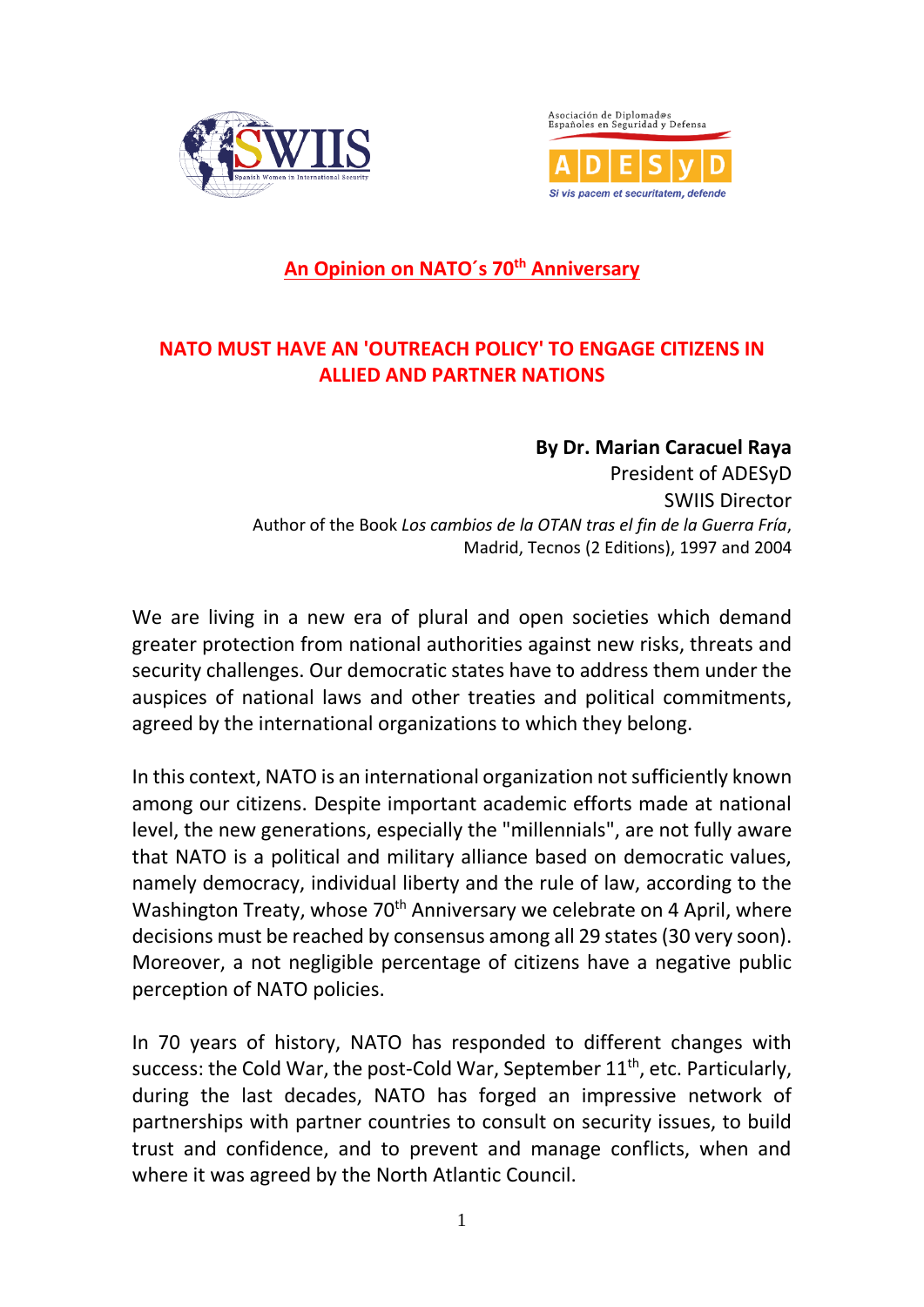



## **An Opinion on NATO´s 70th Anniversary**

## **NATO MUST HAVE AN 'OUTREACH POLICY' TO ENGAGE CITIZENS IN ALLIED AND PARTNER NATIONS**

**By Dr. Marian Caracuel Raya** President of ADESyD SWIIS Director Author of the Book *Los cambios de la OTAN tras el fin de la Guerra Fría*, Madrid, Tecnos (2 Editions), 1997 and 2004

We are living in a new era of plural and open societies which demand greater protection from national authorities against new risks, threats and security challenges. Our democratic states have to address them under the auspices of national laws and other treaties and political commitments, agreed by the international organizations to which they belong.

In this context, NATO is an international organization not sufficiently known among our citizens. Despite important academic efforts made at national level, the new generations, especially the "millennials", are not fully aware that NATO is a political and military alliance based on democratic values, namely democracy, individual liberty and the rule of law, according to the Washington Treaty, whose 70<sup>th</sup> Anniversary we celebrate on 4 April, where decisions must be reached by consensus among all 29 states(30 very soon). Moreover, a not negligible percentage of citizens have a negative public perception of NATO policies.

In 70 years of history, NATO has responded to different changes with success: the Cold War, the post-Cold War, September 11<sup>th</sup>, etc. Particularly, during the last decades, NATO has forged an impressive network of partnerships with partner countries to consult on security issues, to build trust and confidence, and to prevent and manage conflicts, when and where it was agreed by the North Atlantic Council.